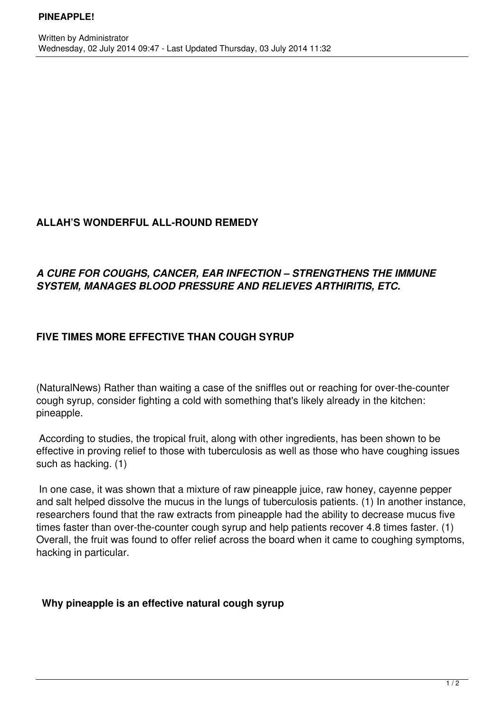#### **ALLAH'S WONDERFUL ALL-ROUND REMEDY**

### *A CURE FOR COUGHS, CANCER, EAR INFECTION – STRENGTHENS THE IMMUNE SYSTEM, MANAGES BLOOD PRESSURE AND RELIEVES ARTHIRITIS, ETC.*

# **FIVE TIMES MORE EFFECTIVE THAN COUGH SYRUP**

(NaturalNews) Rather than waiting a case of the sniffles out or reaching for over-the-counter cough syrup, consider fighting a cold with something that's likely already in the kitchen: pineapple.

 According to studies, the tropical fruit, along with other ingredients, has been shown to be effective in proving relief to those with tuberculosis as well as those who have coughing issues such as hacking. (1)

 In one case, it was shown that a mixture of raw pineapple juice, raw honey, cayenne pepper and salt helped dissolve the mucus in the lungs of tuberculosis patients. (1) In another instance, researchers found that the raw extracts from pineapple had the ability to decrease mucus five times faster than over-the-counter cough syrup and help patients recover 4.8 times faster. (1) Overall, the fruit was found to offer relief across the board when it came to coughing symptoms, hacking in particular.

# **Why pineapple is an effective natural cough syrup**